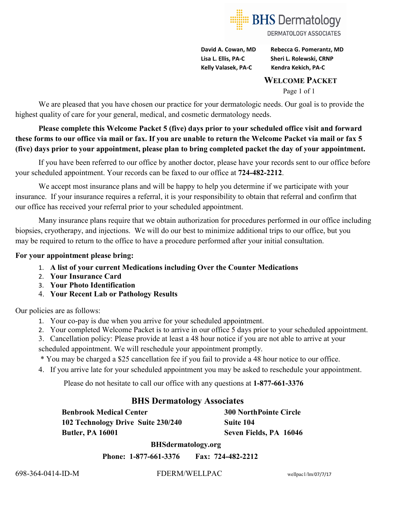

**David A. Cowan, MD Rebecca G. Pomerantz, MD Lisa L. Ellis, PA-C Sheri L. Rolewski, CRNP Kelly Valasek, PA-C Kendra Kekich, PA-C**

#### **WELCOME PACKET**

Page 1 of 1

We are pleased that you have chosen our practice for your dermatologic needs. Our goal is to provide the highest quality of care for your general, medical, and cosmetic dermatology needs.

**Please complete this Welcome Packet 5 (five) days prior to your scheduled office visit and forward these forms to our office via mail or fax. If you are unable to return the Welcome Packet via mail or fax 5 (five) days prior to your appointment, please plan to bring completed packet the day of your appointment.** 

If you have been referred to our office by another doctor, please have your records sent to our office before your scheduled appointment. Your records can be faxed to our office at **724-482-2212**.

We accept most insurance plans and will be happy to help you determine if we participate with your insurance. If your insurance requires a referral, it is your responsibility to obtain that referral and confirm that our office has received your referral prior to your scheduled appointment.

Many insurance plans require that we obtain authorization for procedures performed in our office including biopsies, cryotherapy, and injections. We will do our best to minimize additional trips to our office, but you may be required to return to the office to have a procedure performed after your initial consultation.

#### **For your appointment please bring:**

- 1. **A list of your current Medications including Over the Counter Medications**
- 2. **Your Insurance Card**
- 3. **Your Photo Identification**
- 4. **Your Recent Lab or Pathology Results**

Our policies are as follows:

- 1. Your co-pay is due when you arrive for your scheduled appointment.
- 2. Your completed Welcome Packet is to arrive in our office 5 days prior to your scheduled appointment.

3. Cancellation policy: Please provide at least a 48 hour notice if you are not able to arrive at your

scheduled appointment. We will reschedule your appointment promptly.

\* You may be charged a \$25 cancellation fee if you fail to provide a 48 hour notice to our office.

4. If you arrive late for your scheduled appointment you may be asked to reschedule your appointment.

Please do not hesitate to call our office with any questions at **1-877-661-3376** 

### **BHS Dermatology Associates**

**Benbrook Medical Center 300 NorthPointe Circle 102 Technology Drive Suite 230/240 Suite 104 Butler, PA 16001 Seven Fields, PA 16046**

 **BHSdermatology.org**

 **Phone: 1-877-661-3376 Fax: 724-482-2212**

698-364-0414-ID-M FDERM/WELLPAC wellpac1/lm/07/7/17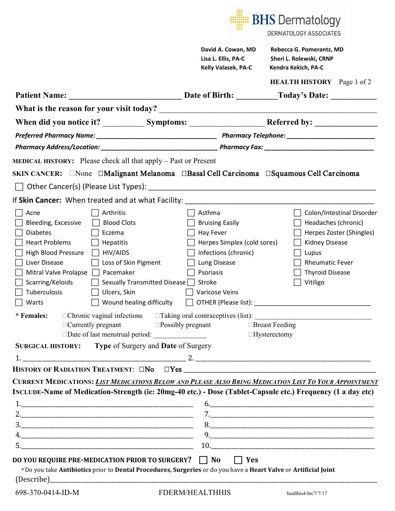|                                                                                                                                                                                                                                                                                                                                                                                                                                                                                                                                                              |                                                                                                                                                                      | <b>BHS</b> Dermatology<br><b>DERMATOLOGY ASSOCIATES</b>                                                                                                                                                                                                                                                            |
|--------------------------------------------------------------------------------------------------------------------------------------------------------------------------------------------------------------------------------------------------------------------------------------------------------------------------------------------------------------------------------------------------------------------------------------------------------------------------------------------------------------------------------------------------------------|----------------------------------------------------------------------------------------------------------------------------------------------------------------------|--------------------------------------------------------------------------------------------------------------------------------------------------------------------------------------------------------------------------------------------------------------------------------------------------------------------|
|                                                                                                                                                                                                                                                                                                                                                                                                                                                                                                                                                              | David A. Cowan, MD<br>Lisa L. Ellis, PA-C<br>Kelly Valasek, PA-C                                                                                                     | Rebecca G. Pomerantz, MD<br>Sheri L. Rolewski, CRNP<br>Kendra Kekich, PA-C                                                                                                                                                                                                                                         |
|                                                                                                                                                                                                                                                                                                                                                                                                                                                                                                                                                              |                                                                                                                                                                      | <b>HEALTH HISTORY</b> Page 1 of 2                                                                                                                                                                                                                                                                                  |
| <b>Patient Name:</b>                                                                                                                                                                                                                                                                                                                                                                                                                                                                                                                                         |                                                                                                                                                                      | Date of Birth: Today's Date:                                                                                                                                                                                                                                                                                       |
|                                                                                                                                                                                                                                                                                                                                                                                                                                                                                                                                                              |                                                                                                                                                                      |                                                                                                                                                                                                                                                                                                                    |
|                                                                                                                                                                                                                                                                                                                                                                                                                                                                                                                                                              |                                                                                                                                                                      |                                                                                                                                                                                                                                                                                                                    |
|                                                                                                                                                                                                                                                                                                                                                                                                                                                                                                                                                              |                                                                                                                                                                      |                                                                                                                                                                                                                                                                                                                    |
|                                                                                                                                                                                                                                                                                                                                                                                                                                                                                                                                                              |                                                                                                                                                                      |                                                                                                                                                                                                                                                                                                                    |
| <b>MEDICAL HISTORY:</b> Please check all that apply – Past or Present                                                                                                                                                                                                                                                                                                                                                                                                                                                                                        |                                                                                                                                                                      |                                                                                                                                                                                                                                                                                                                    |
| SKIN CANCER: None Malignant Melanoma DBasal Cell Carcinoma DSquamous Cell Carcinoma                                                                                                                                                                                                                                                                                                                                                                                                                                                                          |                                                                                                                                                                      |                                                                                                                                                                                                                                                                                                                    |
|                                                                                                                                                                                                                                                                                                                                                                                                                                                                                                                                                              |                                                                                                                                                                      |                                                                                                                                                                                                                                                                                                                    |
| If Skin Cancer: When treated and at what Facility:                                                                                                                                                                                                                                                                                                                                                                                                                                                                                                           |                                                                                                                                                                      |                                                                                                                                                                                                                                                                                                                    |
| Arthritis<br>Acne<br><b>Blood Clots</b><br>Bleeding, Excessive<br><b>Diabetes</b><br>Eczema<br><b>Heart Problems</b><br><b>Hepatitis</b><br><b>High Blood Pressure</b><br>HIV/AIDS<br><b>Liver Disease</b><br>Loss of Skin Pigment<br>Pacemaker<br>Mitral Valve Prolapse<br>Scarring/Keloids<br>Sexually Transmitted Disease<br>Tuberculosis<br>Ulcers, Skin<br>Warts<br>* Females:<br>$\Box$ Currently pregnant<br>$\square$ Possibly pregnant<br>Date of last menstrual period: _________________<br>SURGICAL HISTORY: Type of Surgery and Date of Surgery | Asthma<br><b>Bruising Easily</b><br>Hay Fever<br>Herpes Simplex (cold sores)<br>Infections (chronic)<br>Lung Disease<br>Psoriasis<br>Stroke<br><b>Varicose Veins</b> | Colon/Intestinal Disorder<br>Headaches (chronic)<br>Herpes Zoster (Shingles)<br><b>Kidney Disease</b><br>Lupus<br><b>Rheumatic Fever</b><br><b>Thyroid Disease</b><br>Vitiligo<br>□ Wound healing difficulty □ OTHER (Please list): ______________________________<br>$\Box$ Breast Feeding<br>$\Box$ Hysterectomy |
|                                                                                                                                                                                                                                                                                                                                                                                                                                                                                                                                                              |                                                                                                                                                                      |                                                                                                                                                                                                                                                                                                                    |
| CURRENT MEDICATIONS: LIST MEDICATIONS BELOW AND PLEASE ALSO BRING MEDICATION LIST TO YOUR APPOINTMENT<br>INCLUDE-Name of Medication-Strength (ie: 20mg-40 etc.) - Dose (Tablet-Capsule etc.) Frequency (1 a day etc)<br>DO YOU REQUIRE PRE-MEDICATION PRIOR TO SURGERY? $\Box$ No<br>* Do you take Antibiotics prior to Dental Procedures, Surgeries or do you have a Heart Valve or Artificial Joint<br>(Describe)                                                                                                                                          | $\Box$ Yes                                                                                                                                                           | 6.                                                                                                                                                                                                                                                                                                                 |
| 698-370-0414-ID-M                                                                                                                                                                                                                                                                                                                                                                                                                                                                                                                                            | <b>FDERM/HEALTHHIS</b>                                                                                                                                               | healthis4/lm/7/7/17                                                                                                                                                                                                                                                                                                |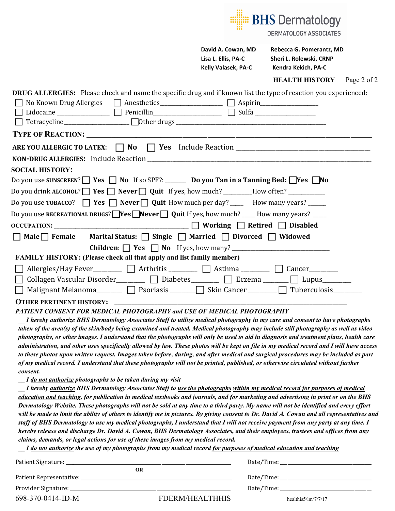

*PATIENT CONSENT FOR MEDICAL PHOTOGRAPHY and USE OF MEDICAL PHOTOGRAPHY*

*\_\_ I hereby authorize BHS Dermatology Associates Staff to utilize medical photography in my care and consent to have photographs taken of the area(s) of the skin/body being examined and treated. Medical photography may include still photography as well as video photography, or other images. I understand that the photographs will only be used to aid in diagnosis and treatment plans, health care administration, and other uses specifically allowed by law. These photos will be kept on file in my medical record and I will have access to these photos upon written request. Images taken before, during, and after medical and surgical procedures may be included as part of my medical record. I understand that these photographs will not be printed, published, or otherwise circulated without further consent.*

*\_\_ I do not authorize photographs to be taken during my visit*

*\_\_ I hereby authorize BHS Dermatology Associates Staff to use the photographs within my medical record for purposes of medical education and teaching, for publication in medical textbooks and journals, and for marketing and advertising in print or on the BHS Dermatology Website. These photographs will not be sold at any time to a third party. My name will not be identified and every effort*  will be made to limit the ability of others to identify me in pictures. By giving consent to Dr. David A. Cowan and all representatives and *staff of BHS Dermatology to use my medical photographs, I understand that I will not receive payment from any party at any time. I hereby release and discharge Dr. David A. Cowan, BHS Dermatology Associates, and their employees, trustees and offices from any claims, demands, or legal actions for use of these images from my medical record.*

*\_\_ I do not authorize the use of my photographs from my medical record for purposes of medical education and teaching*

| OR                |                 |                               |
|-------------------|-----------------|-------------------------------|
|                   |                 | Date/Time:                    |
|                   |                 |                               |
| 698-370-0414-ID-M | FDERM/HEALTHHIS | healthis $5/\text{Im}/7/7/17$ |